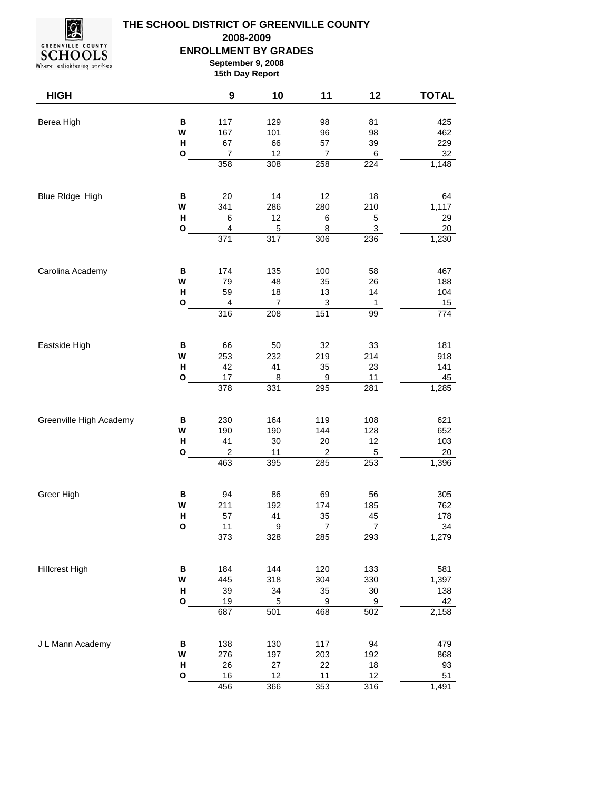

## **THE SCHOOL DISTRICT OF GREENVILLE COUNTY ENROLLMENT BY GRADES September 9, 2008 2008-2009**

Where enlightening strikes

| September 9, 2008 |
|-------------------|
| 15th Day Report   |
|                   |

| <b>HIGH</b>             |              | 9                        | 10               | 11               | 12               | <b>TOTAL</b>     |
|-------------------------|--------------|--------------------------|------------------|------------------|------------------|------------------|
| Berea High              | B            | 117                      | 129              | 98               | 81               | 425              |
|                         | W            | 167                      | 101              | 96               | 98               | 462              |
|                         | Н            | 67                       | 66               | 57               | 39               | 229              |
|                         | O            | $\overline{\mathcal{I}}$ | 12               | 7                | $6\phantom{a}$   | 32               |
|                         |              | 358                      | 308              | 258              | 224              | 1,148            |
| Blue RIdge High         | B            | 20                       | 14               | 12               | 18               | 64               |
|                         | W            | 341                      | 286              | 280              | 210              | 1,117            |
|                         | н            | 6                        | 12               | 6                | 5                | 29               |
|                         | O            | $\overline{4}$           | $\overline{5}$   | 8                | $\overline{3}$   | 20               |
|                         |              | 371                      | 317              | 306              | 236              | 1,230            |
| Carolina Academy        | B            | 174                      | 135              | 100              | 58               | 467              |
|                         | W            | 79                       | 48               | 35               | 26               | 188              |
|                         | Н            | 59                       | 18               | 13               | 14               | 104              |
|                         | O            | 4                        | 7                | 3                | 1                | 15               |
|                         |              | 316                      | 208              | 151              | 99               | $\overline{774}$ |
| Eastside High           | B            | 66                       | 50               | 32               | 33               | 181              |
|                         | W            | 253                      | 232              | 219              | 214              | 918              |
|                         | Н            | 42                       | 41               | 35               | 23               | 141              |
|                         | O            | 17                       | 8                | 9                | 11               | 45               |
|                         |              | 378                      | 331              | 295              | $\overline{281}$ | 1,285            |
| Greenville High Academy | B            | 230                      | 164              | 119              | 108              | 621              |
|                         | W            | 190                      | 190              | 144              | 128              | 652              |
|                         | н            | 41                       | 30               | 20               | 12               | 103              |
|                         | O            | $\boldsymbol{2}$         | 11               | $\boldsymbol{2}$ | $\,$ 5 $\,$      | 20               |
|                         |              | 463                      | 395              | 285              | 253              | 1,396            |
| Greer High              | B            | 94                       | 86               | 69               | 56               | 305              |
|                         | W            | 211                      | 192              | 174              | 185              | 762              |
|                         | Н            | 57                       | 41               | 35               | 45               | 178              |
|                         | O            | 11                       | $\boldsymbol{9}$ | $\boldsymbol{7}$ | $\overline{7}$   | 34               |
|                         |              | 373                      | 328              | 285              | 293              | 1,279            |
| <b>Hillcrest High</b>   | $\, {\bf B}$ | 184                      | 144              | 120              | 133              | 581              |
|                         | W            | 445                      | 318              | 304              | 330              | 1,397            |
|                         | Н            | 39                       | 34               | 35               | $30\,$           | 138              |
|                         | O            | 19                       | 5                | 9                | 9                | 42               |
|                         |              | 687                      | 501              | 468              | 502              | 2,158            |
| J L Mann Academy        | В            | 138                      | 130              | 117              | 94               | 479              |
|                         | W            | 276                      | 197              | 203              | 192              | 868              |
|                         | Н            | 26                       | $27\,$           | 22               | $18\,$           | 93               |
|                         | O            | 16                       | 12               | 11               | 12               | 51               |
|                         |              | 456                      | 366              | 353              | 316              | 1,491            |